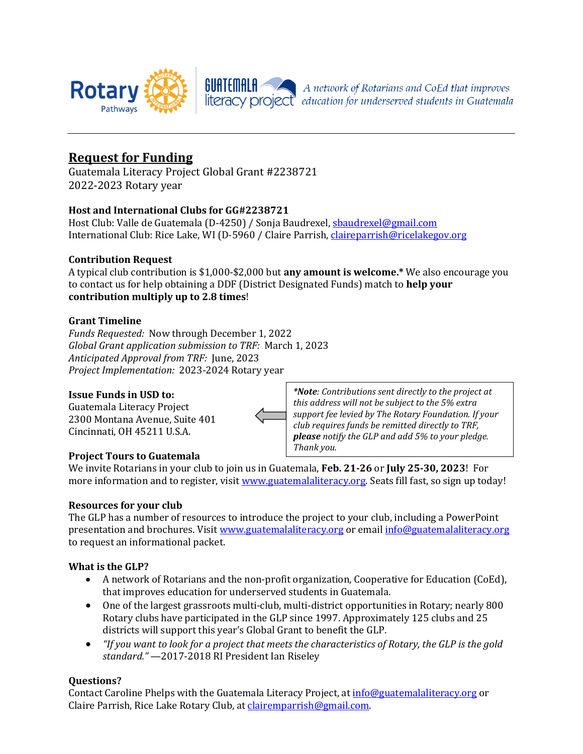

## **Request for Funding**

Guatemala Literacy Project Global Grant #2238721 2022-2023 Rotary year

## **Host and International Clubs for GG#2238721**

Host Club: Valle de Guatemala (D-4250) / Sonja Baudrexel[, sbaudrexel@gmail.com](mailto:sbaudrexel@gmail.com) International Club: Rice Lake, WI (D-5960 / Claire Parrish, *claireparrish@ricelakegov.org* 

## **Contribution Request**

A typical club contribution is \$1,000-\$2,000 but **any amount is welcome.\*** We also encourage you to contact us for help obtaining a DDF (District Designated Funds) match to **help your contribution multiply up to 2.8 times**!

#### **Grant Timeline**

*Funds Requested:* Now through December 1, 2022 *Global Grant application submission to TRF:* March 1, 2023 *Anticipated Approval from TRF:* June, 2023 *Project Implementation:* 2023-2024 Rotary year

#### **Issue Funds in USD to:**

Guatemala Literacy Project 2300 Montana Avenue, Suite 401 Cincinnati, OH 45211 U.S.A.

## **Project Tours to Guatemala**

*\*Note: Contributions sent directly to the project at this address will not be subject to the 5% extra support fee levied by The Rotary Foundation. If your club requires funds be remitted directly to TRF, please notify the GLP and add 5% to your pledge. Thank you.*

We invite Rotarians in your club to join us in Guatemala, **Feb. 21-26** or **July 25-30, 2023**! For more information and to register, visit [www.guatemalaliteracy.org.](http://www.guatemalaliteracy.org/) Seats fill fast, so sign up today!

## **Resources for your club**

The GLP has a number of resources to introduce the project to your club, including a PowerPoint presentation and brochures. Visit [www.guatemalaliteracy.org](http://www.guatemalaliteracy.org/) or emai[l info@guatemalaliteracy.org](mailto:info@guatemalaliteracy.org) to request an informational packet.

## **What is the GLP?**

- A network of Rotarians and the non-profit organization, Cooperative for Education (CoEd), that improves education for underserved students in Guatemala.
- One of the largest grassroots multi-club, multi-district opportunities in Rotary; nearly 800 Rotary clubs have participated in the GLP since 1997. Approximately 125 clubs and 25 districts will support this year's Global Grant to benefit the GLP.
- *"If you want to look for a project that meets the characteristics of Rotary, the GLP is the gold standard."* —2017-2018 RI President Ian Riseley

## **Questions?**

Contact Caroline Phelps with the Guatemala Literacy Project, a[t info@guatemalaliteracy.org](mailto:info@guatemalaliteracy.org) or Claire Parrish, Rice Lake Rotary Club, a[t clairemparrish@gmail.com.](mailto:clairemparrish@gmail.com)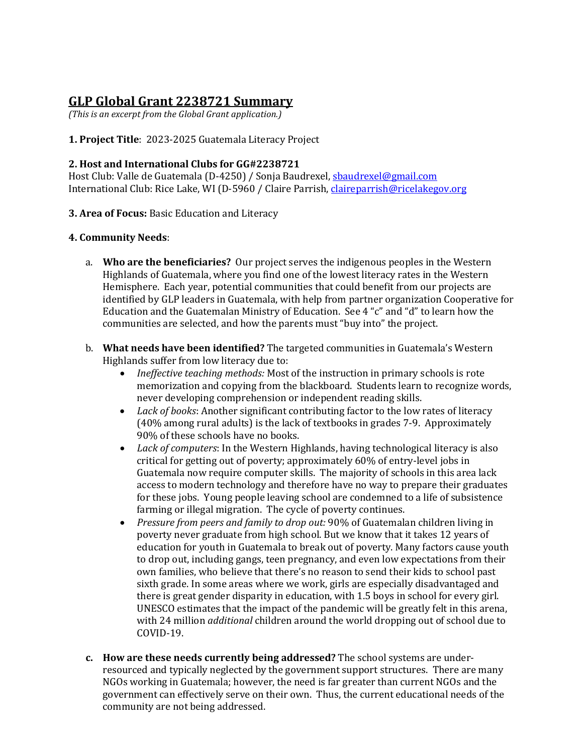# **GLP Global Grant 2238721 Summary**

*(This is an excerpt from the Global Grant application.)*

## **1. Project Title**: 2023-2025 Guatemala Literacy Project

## **2. Host and International Clubs for GG#2238721**

Host Club: Valle de Guatemala (D-4250) / Sonja Baudrexel[, sbaudrexel@gmail.com](mailto:sbaudrexel@gmail.com) International Club: Rice Lake, WI (D-5960 / Claire Parrish, *claireparrish@ricelakegov.org* 

## **3. Area of Focus:** Basic Education and Literacy

## **4. Community Needs**:

- a. **Who are the beneficiaries?** Our project serves the indigenous peoples in the Western Highlands of Guatemala, where you find one of the lowest literacy rates in the Western Hemisphere. Each year, potential communities that could benefit from our projects are identified by GLP leaders in Guatemala, with help from partner organization Cooperative for Education and the Guatemalan Ministry of Education. See 4 "c" and "d" to learn how the communities are selected, and how the parents must "buy into" the project.
- b. **What needs have been identified?** The targeted communities in Guatemala's Western Highlands suffer from low literacy due to:
	- *Ineffective teaching methods:* Most of the instruction in primary schools is rote memorization and copying from the blackboard. Students learn to recognize words, never developing comprehension or independent reading skills.
	- *Lack of books*: Another significant contributing factor to the low rates of literacy (40% among rural adults) is the lack of textbooks in grades 7-9. Approximately 90% of these schools have no books.
	- *Lack of computers*: In the Western Highlands, having technological literacy is also critical for getting out of poverty; approximately 60% of entry-level jobs in Guatemala now require computer skills. The majority of schools in this area lack access to modern technology and therefore have no way to prepare their graduates for these jobs. Young people leaving school are condemned to a life of subsistence farming or illegal migration. The cycle of poverty continues.
	- *Pressure from peers and family to drop out:* 90% of Guatemalan children living in poverty never graduate from high school. But we know that it takes 12 years of education for youth in Guatemala to break out of poverty. Many factors cause youth to drop out, including gangs, teen pregnancy, and even low expectations from their own families, who believe that there's no reason to send their kids to school past sixth grade. In some areas where we work, girls are especially disadvantaged and there is great gender disparity in education, with 1.5 boys in school for every girl. UNESCO estimates that the impact of the pandemic will be greatly felt in this arena, with 24 million *additional* children around the world dropping out of school due to COVID-19.
- **c. How are these needs currently being addressed?** The school systems are underresourced and typically neglected by the government support structures. There are many NGOs working in Guatemala; however, the need is far greater than current NGOs and the government can effectively serve on their own. Thus, the current educational needs of the community are not being addressed.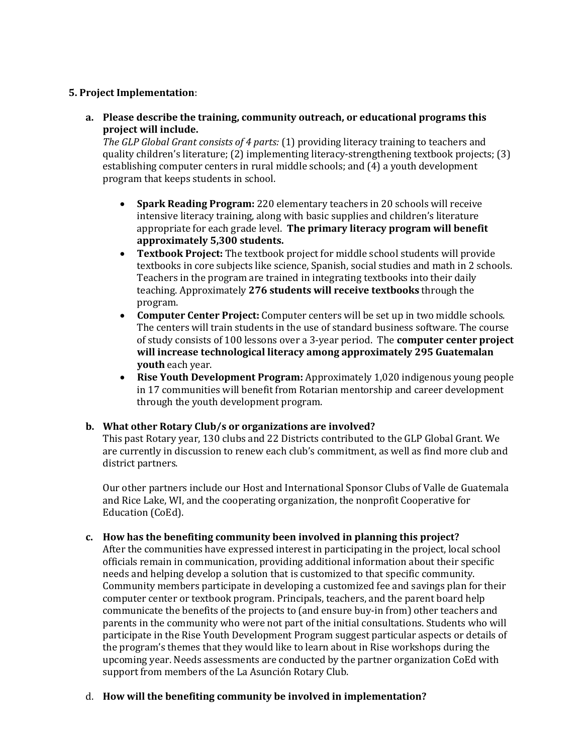#### **5. Project Implementation**:

**a. Please describe the training, community outreach, or educational programs this project will include.**

*The GLP Global Grant consists of 4 parts:* (1) providing literacy training to teachers and quality children's literature; (2) implementing literacy-strengthening textbook projects; (3) establishing computer centers in rural middle schools; and (4) a youth development program that keeps students in school.

- **Spark Reading Program:** 220 elementary teachers in 20 schools will receive intensive literacy training, along with basic supplies and children's literature appropriate for each grade level. **The primary literacy program will benefit approximately 5,300 students.**
- **Textbook Project:** The textbook project for middle school students will provide textbooks in core subjects like science, Spanish, social studies and math in 2 schools. Teachers in the program are trained in integrating textbooks into their daily teaching. Approximately **276 students will receive textbooks** through the program.
- **Computer Center Project:** Computer centers will be set up in two middle schools. The centers will train students in the use of standard business software. The course of study consists of 100 lessons over a 3-year period. The **computer center project will increase technological literacy among approximately 295 Guatemalan youth** each year.
- **Rise Youth Development Program:** Approximately 1,020 indigenous young people in 17 communities will benefit from Rotarian mentorship and career development through the youth development program.

## **b. What other Rotary Club/s or organizations are involved?**

This past Rotary year, 130 clubs and 22 Districts contributed to the GLP Global Grant. We are currently in discussion to renew each club's commitment, as well as find more club and district partners.

Our other partners include our Host and International Sponsor Clubs of Valle de Guatemala and Rice Lake, WI, and the cooperating organization, the nonprofit Cooperative for Education (CoEd).

## **c. How has the benefiting community been involved in planning this project?**

After the communities have expressed interest in participating in the project, local school officials remain in communication, providing additional information about their specific needs and helping develop a solution that is customized to that specific community. Community members participate in developing a customized fee and savings plan for their computer center or textbook program. Principals, teachers, and the parent board help communicate the benefits of the projects to (and ensure buy-in from) other teachers and parents in the community who were not part of the initial consultations. Students who will participate in the Rise Youth Development Program suggest particular aspects or details of the program's themes that they would like to learn about in Rise workshops during the upcoming year. Needs assessments are conducted by the partner organization CoEd with support from members of the La Asunción Rotary Club.

## d. **How will the benefiting community be involved in implementation?**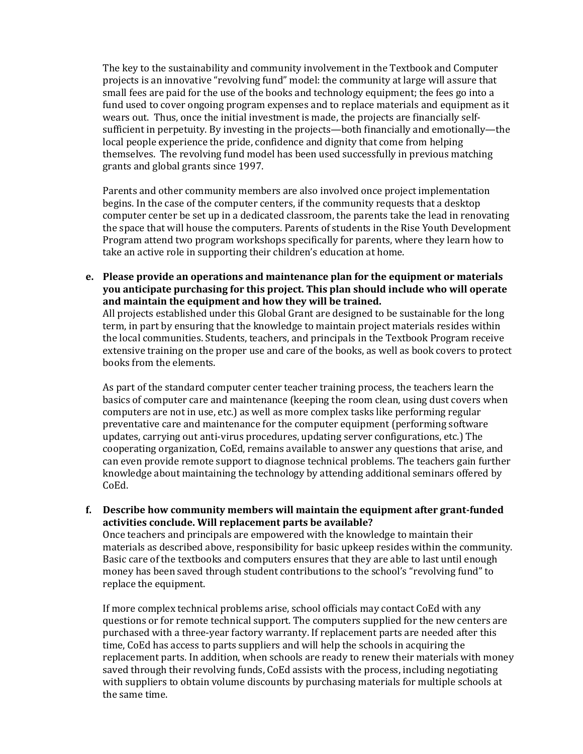The key to the sustainability and community involvement in the Textbook and Computer projects is an innovative "revolving fund" model: the community at large will assure that small fees are paid for the use of the books and technology equipment; the fees go into a fund used to cover ongoing program expenses and to replace materials and equipment as it wears out. Thus, once the initial investment is made, the projects are financially selfsufficient in perpetuity. By investing in the projects—both financially and emotionally—the local people experience the pride, confidence and dignity that come from helping themselves. The revolving fund model has been used successfully in previous matching grants and global grants since 1997.

Parents and other community members are also involved once project implementation begins. In the case of the computer centers, if the community requests that a desktop computer center be set up in a dedicated classroom, the parents take the lead in renovating the space that will house the computers. Parents of students in the Rise Youth Development Program attend two program workshops specifically for parents, where they learn how to take an active role in supporting their children's education at home.

**e. Please provide an operations and maintenance plan for the equipment or materials you anticipate purchasing for this project. This plan should include who will operate and maintain the equipment and how they will be trained.**

All projects established under this Global Grant are designed to be sustainable for the long term, in part by ensuring that the knowledge to maintain project materials resides within the local communities. Students, teachers, and principals in the Textbook Program receive extensive training on the proper use and care of the books, as well as book covers to protect books from the elements.

As part of the standard computer center teacher training process, the teachers learn the basics of computer care and maintenance (keeping the room clean, using dust covers when computers are not in use, etc.) as well as more complex tasks like performing regular preventative care and maintenance for the computer equipment (performing software updates, carrying out anti-virus procedures, updating server configurations, etc.) The cooperating organization, CoEd, remains available to answer any questions that arise, and can even provide remote support to diagnose technical problems. The teachers gain further knowledge about maintaining the technology by attending additional seminars offered by CoEd.

**f. Describe how community members will maintain the equipment after grant-funded activities conclude. Will replacement parts be available?**

Once teachers and principals are empowered with the knowledge to maintain their materials as described above, responsibility for basic upkeep resides within the community. Basic care of the textbooks and computers ensures that they are able to last until enough money has been saved through student contributions to the school's "revolving fund" to replace the equipment.

If more complex technical problems arise, school officials may contact CoEd with any questions or for remote technical support. The computers supplied for the new centers are purchased with a three-year factory warranty. If replacement parts are needed after this time, CoEd has access to parts suppliers and will help the schools in acquiring the replacement parts. In addition, when schools are ready to renew their materials with money saved through their revolving funds, CoEd assists with the process, including negotiating with suppliers to obtain volume discounts by purchasing materials for multiple schools at the same time.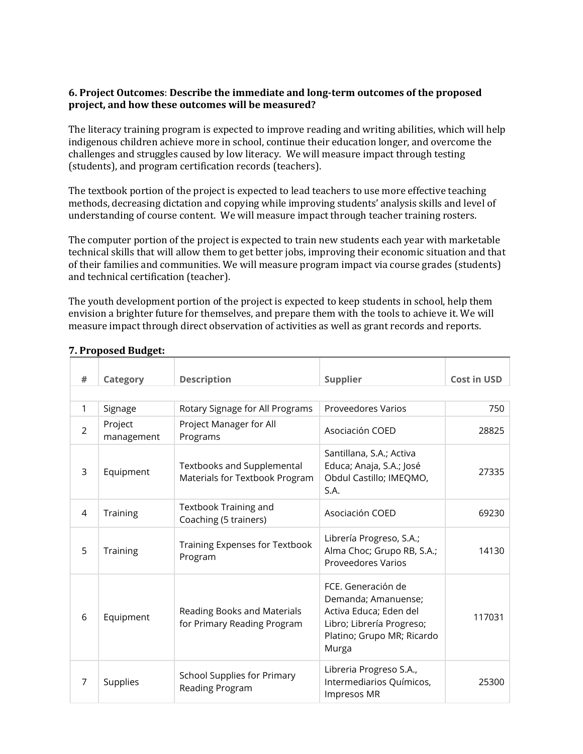## **6. Project Outcomes**: **Describe the immediate and long-term outcomes of the proposed project, and how these outcomes will be measured?**

The literacy training program is expected to improve reading and writing abilities, which will help indigenous children achieve more in school, continue their education longer, and overcome the challenges and struggles caused by low literacy. We will measure impact through testing (students), and program certification records (teachers).

The textbook portion of the project is expected to lead teachers to use more effective teaching methods, decreasing dictation and copying while improving students' analysis skills and level of understanding of course content. We will measure impact through teacher training rosters.

The computer portion of the project is expected to train new students each year with marketable technical skills that will allow them to get better jobs, improving their economic situation and that of their families and communities. We will measure program impact via course grades (students) and technical certification (teacher).

The youth development portion of the project is expected to keep students in school, help them envision a brighter future for themselves, and prepare them with the tools to achieve it. We will measure impact through direct observation of activities as well as grant records and reports.

| #              | Category              | <b>Description</b>                                           | <b>Supplier</b>                                                                                                                                | <b>Cost in USD</b> |  |  |
|----------------|-----------------------|--------------------------------------------------------------|------------------------------------------------------------------------------------------------------------------------------------------------|--------------------|--|--|
|                |                       |                                                              |                                                                                                                                                |                    |  |  |
| 1              | Signage               | Rotary Signage for All Programs                              | <b>Proveedores Varios</b>                                                                                                                      | 750                |  |  |
| $\overline{2}$ | Project<br>management | Project Manager for All<br>Programs                          | Asociación COED                                                                                                                                | 28825              |  |  |
| 3              | Equipment             | Textbooks and Supplemental<br>Materials for Textbook Program | Santillana, S.A.; Activa<br>Educa; Anaja, S.A.; José<br>Obdul Castillo; IMEQMO,<br>S.A.                                                        | 27335              |  |  |
| 4              | Training              | Textbook Training and<br>Coaching (5 trainers)               | Asociación COED                                                                                                                                | 69230              |  |  |
| 5              | Training              | Training Expenses for Textbook<br>Program                    | Librería Progreso, S.A.;<br>Alma Choc; Grupo RB, S.A.;<br><b>Proveedores Varios</b>                                                            | 14130              |  |  |
| 6              | Equipment             | Reading Books and Materials<br>for Primary Reading Program   | FCE. Generación de<br>Demanda; Amanuense;<br>Activa Educa; Eden del<br>Libro; Librería Progreso;<br>Platino; Grupo MR; Ricardo<br><b>Murga</b> | 117031             |  |  |
| $\overline{7}$ | Supplies              | School Supplies for Primary<br>Reading Program               | Libreria Progreso S.A.,<br>Intermediarios Químicos,<br>Impresos MR                                                                             | 25300              |  |  |

## **7. Proposed Budget:**